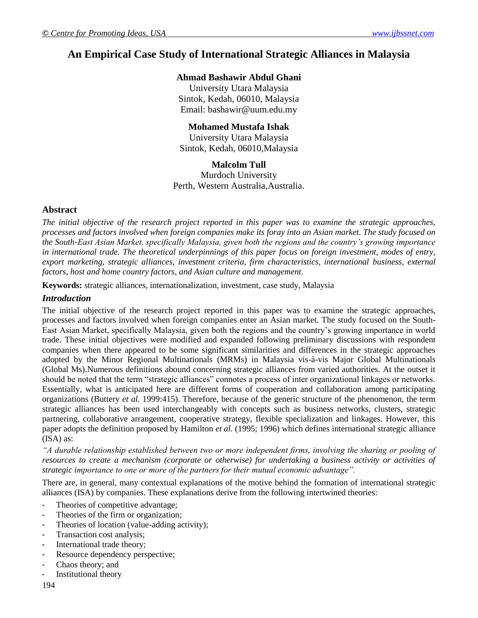# **An Empirical Case Study of International Strategic Alliances in Malaysia**

## **Ahmad Bashawir Abdul Ghani**

University Utara Malaysia Sintok, Kedah, 06010, Malaysia Email: [bashawir@uum.edu.my](mailto:bashawir@uum.edu.my)

# **Mohamed Mustafa Ishak**

University Utara Malaysia Sintok, Kedah, 06010,Malaysia

### **Malcolm Tull**

Murdoch University Perth, Western Australia,Australia.

# **Abstract**

*The initial objective of the research project reported in this paper was to examine the strategic approaches, processes and factors involved when foreign companies make its foray into an Asian market. The study focused on the South-East Asian Market, specifically Malaysia, given both the regions and the country's growing importance in international trade. The theoretical underpinnings of this paper focus on foreign investment, modes of entry, export marketing, strategic alliances, investment criteria, firm characteristics, international business, external factors, host and home country factors, and Asian culture and management.*

**Keywords:** strategic alliances, internationalization, investment, case study, Malaysia

### *Introduction*

The initial objective of the research project reported in this paper was to examine the strategic approaches, processes and factors involved when foreign companies enter an Asian market. The study focused on the South-East Asian Market, specifically Malaysia, given both the regions and the country"s growing importance in world trade. These initial objectives were modified and expanded following preliminary discussions with respondent companies when there appeared to be some significant similarities and differences in the strategic approaches adopted by the Minor Regional Multinationals (MRMs) in Malaysia vis-à-vis Major Global Multinationals (Global Ms).Numerous definitions abound concerning strategic alliances from varied authorities. At the outset it should be noted that the term "strategic alliances" connotes a process of inter organizational linkages or networks. Essentially, what is anticipated here are different forms of cooperation and collaboration among participating organizations (Buttery *et al.* 1999:415). Therefore, because of the generic structure of the phenomenon, the term strategic alliances has been used interchangeably with concepts such as business networks, clusters, strategic partnering, collaborative arrangement, cooperative strategy, flexible specialization and linkages. However, this paper adopts the definition proposed by Hamilton *et al.* (1995; 1996) which defines international strategic alliance (ISA) as:

*"A durable relationship established between two or more independent firms, involving the sharing or pooling of resources to create a mechanism (corporate or otherwise) for undertaking a business activity or activities of strategic importance to one or more of the partners for their mutual economic advantage".* 

There are, in general, many contextual explanations of the motive behind the formation of international strategic alliances (ISA) by companies. These explanations derive from the following intertwined theories:

- Theories of competitive advantage;
- Theories of the firm or organization;
- Theories of location (value-adding activity);
- Transaction cost analysis;
- International trade theory;
- Resource dependency perspective;
- Chaos theory; and
- Institutional theory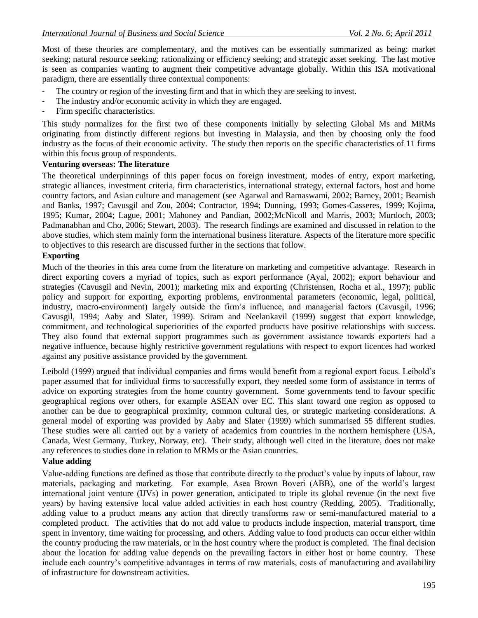Most of these theories are complementary, and the motives can be essentially summarized as being: market seeking; natural resource seeking; rationalizing or efficiency seeking; and strategic asset seeking. The last motive is seen as companies wanting to augment their competitive advantage globally. Within this ISA motivational paradigm, there are essentially three contextual components:

- The country or region of the investing firm and that in which they are seeking to invest.
- The industry and/or economic activity in which they are engaged.
- Firm specific characteristics.

This study normalizes for the first two of these components initially by selecting Global Ms and MRMs originating from distinctly different regions but investing in Malaysia, and then by choosing only the food industry as the focus of their economic activity. The study then reports on the specific characteristics of 11 firms within this focus group of respondents.

### **Venturing overseas: The literature**

The theoretical underpinnings of this paper focus on foreign investment, modes of entry, export marketing, strategic alliances, investment criteria, firm characteristics, international strategy, external factors, host and home country factors, and Asian culture and management (see Agarwal and Ramaswami, 2002; Barney, 2001; Beamish and Banks, 1997; Cavusgil and Zou, 2004; Contractor, 1994; Dunning, 1993; Gomes-Casseres, 1999; Kojima, 1995; Kumar, 2004; Lague, 2001; Mahoney and Pandian, 2002;McNicoll and Marris, 2003; Murdoch, 2003; Padmanabhan and Cho, 2006; Stewart, 2003). The research findings are examined and discussed in relation to the above studies, which stem mainly form the international business literature. Aspects of the literature more specific to objectives to this research are discussed further in the sections that follow.

### **Exporting**

Much of the theories in this area come from the literature on marketing and competitive advantage. Research in direct exporting covers a myriad of topics, such as export performance (Ayal, 2002); export behaviour and strategies (Cavusgil and Nevin, 2001); marketing mix and exporting (Christensen, Rocha et al., 1997); public policy and support for exporting, exporting problems, environmental parameters (economic, legal, political, industry, macro-environment) largely outside the firm"s influence, and managerial factors (Cavusgil, 1996; Cavusgil, 1994; Aaby and Slater, 1999). Sriram and Neelankavil (1999) suggest that export knowledge, commitment, and technological superiorities of the exported products have positive relationships with success. They also found that external support programmes such as government assistance towards exporters had a negative influence, because highly restrictive government regulations with respect to export licences had worked against any positive assistance provided by the government.

Leibold (1999) argued that individual companies and firms would benefit from a regional export focus. Leibold"s paper assumed that for individual firms to successfully export, they needed some form of assistance in terms of advice on exporting strategies from the home country government. Some governments tend to favour specific geographical regions over others, for example ASEAN over EC. This slant toward one region as opposed to another can be due to geographical proximity, common cultural ties, or strategic marketing considerations. A general model of exporting was provided by Aaby and Slater (1999) which summarised 55 different studies. These studies were all carried out by a variety of academics from countries in the northern hemisphere (USA, Canada, West Germany, Turkey, Norway, etc). Their study, although well cited in the literature, does not make any references to studies done in relation to MRMs or the Asian countries.

### **Value adding**

Value-adding functions are defined as those that contribute directly to the product"s value by inputs of labour, raw materials, packaging and marketing. For example, Asea Brown Boveri (ABB), one of the world"s largest international joint venture (IJVs) in power generation, anticipated to triple its global revenue (in the next five years) by having extensive local value added activities in each host country (Redding, 2005). Traditionally, adding value to a product means any action that directly transforms raw or semi-manufactured material to a completed product. The activities that do not add value to products include inspection, material transport, time spent in inventory, time waiting for processing, and others. Adding value to food products can occur either within the country producing the raw materials, or in the host country where the product is completed. The final decision about the location for adding value depends on the prevailing factors in either host or home country. These include each country's competitive advantages in terms of raw materials, costs of manufacturing and availability of infrastructure for downstream activities.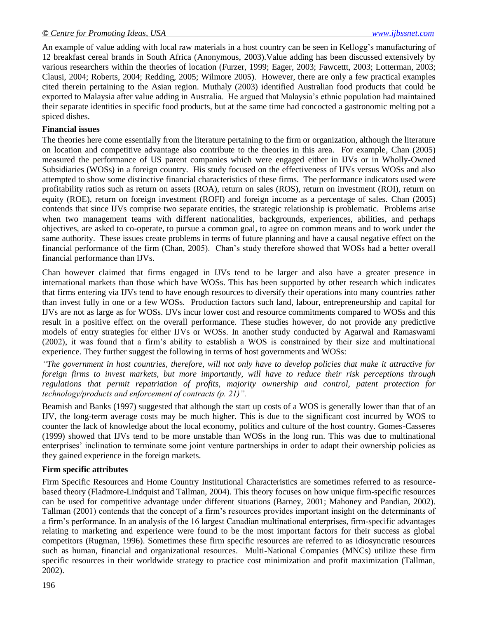An example of value adding with local raw materials in a host country can be seen in Kellogg"s manufacturing of 12 breakfast cereal brands in South Africa (Anonymous, 2003).Value adding has been discussed extensively by various researchers within the theories of location (Furzer, 1999; Eager, 2003; Fawcettt, 2003; Lotterman, 2003; Clausi, 2004; Roberts, 2004; Redding, 2005; Wilmore 2005). However, there are only a few practical examples cited therein pertaining to the Asian region. Muthaly (2003) identified Australian food products that could be exported to Malaysia after value adding in Australia. He argued that Malaysia"s ethnic population had maintained their separate identities in specific food products, but at the same time had concocted a gastronomic melting pot a spiced dishes.

### **Financial issues**

The theories here come essentially from the literature pertaining to the firm or organization, although the literature on location and competitive advantage also contribute to the theories in this area. For example, Chan (2005) measured the performance of US parent companies which were engaged either in IJVs or in Wholly-Owned Subsidiaries (WOSs) in a foreign country. His study focused on the effectiveness of IJVs versus WOSs and also attempted to show some distinctive financial characteristics of these firms. The performance indicators used were profitability ratios such as return on assets (ROA), return on sales (ROS), return on investment (ROI), return on equity (ROE), return on foreign investment (ROFI) and foreign income as a percentage of sales. Chan (2005) contends that since IJVs comprise two separate entities, the strategic relationship is problematic. Problems arise when two management teams with different nationalities, backgrounds, experiences, abilities, and perhaps objectives, are asked to co-operate, to pursue a common goal, to agree on common means and to work under the same authority. These issues create problems in terms of future planning and have a causal negative effect on the financial performance of the firm (Chan, 2005). Chan"s study therefore showed that WOSs had a better overall financial performance than IJVs.

Chan however claimed that firms engaged in IJVs tend to be larger and also have a greater presence in international markets than those which have WOSs. This has been supported by other research which indicates that firms entering via IJVs tend to have enough resources to diversify their operations into many countries rather than invest fully in one or a few WOSs. Production factors such land, labour, entrepreneurship and capital for IJVs are not as large as for WOSs. IJVs incur lower cost and resource commitments compared to WOSs and this result in a positive effect on the overall performance. These studies however, do not provide any predictive models of entry strategies for either IJVs or WOSs. In another study conducted by Agarwal and Ramaswami (2002), it was found that a firm"s ability to establish a WOS is constrained by their size and multinational experience. They further suggest the following in terms of host governments and WOSs:

*"The government in host countries, therefore, will not only have to develop policies that make it attractive for foreign firms to invest markets, but more importantly, will have to reduce their risk perceptions through regulations that permit repatriation of profits, majority ownership and control, patent protection for technology/products and enforcement of contracts (p. 21)".*

Beamish and Banks (1997) suggested that although the start up costs of a WOS is generally lower than that of an IJV, the long-term average costs may be much higher. This is due to the significant cost incurred by WOS to counter the lack of knowledge about the local economy, politics and culture of the host country. Gomes-Casseres (1999) showed that IJVs tend to be more unstable than WOSs in the long run. This was due to multinational enterprises" inclination to terminate some joint venture partnerships in order to adapt their ownership policies as they gained experience in the foreign markets.

### **Firm specific attributes**

Firm Specific Resources and Home Country Institutional Characteristics are sometimes referred to as resourcebased theory (Fladmore-Lindquist and Tallman, 2004). This theory focuses on how unique firm-specific resources can be used for competitive advantage under different situations (Barney, 2001; Mahoney and Pandian, 2002). Tallman (2001) contends that the concept of a firm"s resources provides important insight on the determinants of a firm"s performance. In an analysis of the 16 largest Canadian multinational enterprises, firm-specific advantages relating to marketing and experience were found to be the most important factors for their success as global competitors (Rugman, 1996). Sometimes these firm specific resources are referred to as idiosyncratic resources such as human, financial and organizational resources. Multi-National Companies (MNCs) utilize these firm specific resources in their worldwide strategy to practice cost minimization and profit maximization (Tallman, 2002).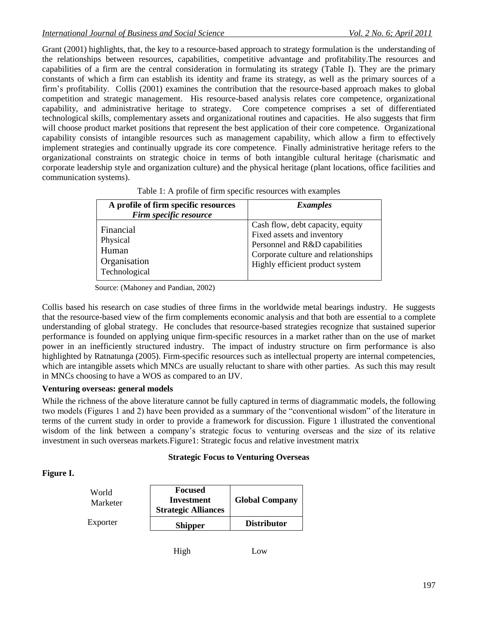Grant (2001) highlights, that, the key to a resource-based approach to strategy formulation is the understanding of the relationships between resources, capabilities, competitive advantage and profitability.The resources and capabilities of a firm are the central consideration in formulating its strategy (Table I). They are the primary constants of which a firm can establish its identity and frame its strategy, as well as the primary sources of a firm"s profitability. Collis (2001) examines the contribution that the resource-based approach makes to global competition and strategic management. His resource-based analysis relates core competence, organizational capability, and administrative heritage to strategy. Core competence comprises a set of differentiated technological skills, complementary assets and organizational routines and capacities. He also suggests that firm will choose product market positions that represent the best application of their core competence. Organizational capability consists of intangible resources such as management capability, which allow a firm to effectively implement strategies and continually upgrade its core competence. Finally administrative heritage refers to the organizational constraints on strategic choice in terms of both intangible cultural heritage (charismatic and corporate leadership style and organization culture) and the physical heritage (plant locations, office facilities and communication systems).

| A profile of firm specific resources<br>Firm specific resource | <b>Examples</b>                     |
|----------------------------------------------------------------|-------------------------------------|
| Financial                                                      | Cash flow, debt capacity, equity    |
| Physical                                                       | Fixed assets and inventory          |
| Human                                                          | Personnel and R&D capabilities      |
| Organisation                                                   | Corporate culture and relationships |
| Technological                                                  | Highly efficient product system     |

Table 1: A profile of firm specific resources with examples

Source: (Mahoney and Pandian, 2002)

Collis based his research on case studies of three firms in the worldwide metal bearings industry. He suggests that the resource-based view of the firm complements economic analysis and that both are essential to a complete understanding of global strategy. He concludes that resource-based strategies recognize that sustained superior performance is founded on applying unique firm-specific resources in a market rather than on the use of market power in an inefficiently structured industry. The impact of industry structure on firm performance is also highlighted by Ratnatunga (2005). Firm-specific resources such as intellectual property are internal competencies, which are intangible assets which MNCs are usually reluctant to share with other parties. As such this may result in MNCs choosing to have a WOS as compared to an IJV.

### **Venturing overseas: general models**

While the richness of the above literature cannot be fully captured in terms of diagrammatic models, the following two models (Figures 1 and 2) have been provided as a summary of the "conventional wisdom" of the literature in terms of the current study in order to provide a framework for discussion. Figure 1 illustrated the conventional wisdom of the link between a company's strategic focus to venturing overseas and the size of its relative investment in such overseas markets.Figure1: Strategic focus and relative investment matrix

#### **Strategic Focus to Venturing Overseas**

### **Figure I.**

| World<br>Marketer | Focused<br>Investment<br><b>Strategic Alliances</b> | <b>Global Company</b> |
|-------------------|-----------------------------------------------------|-----------------------|
| Exporter          | <b>Shipper</b>                                      | <b>Distributor</b>    |

High Low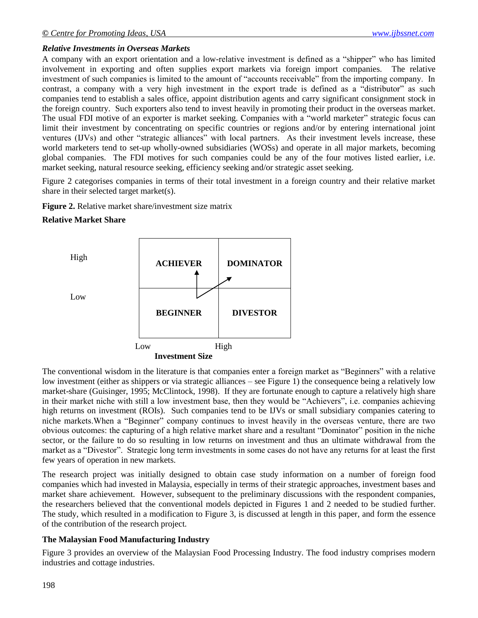### *Relative Investments in Overseas Markets*

A company with an export orientation and a low-relative investment is defined as a "shipper" who has limited involvement in exporting and often supplies export markets via foreign import companies. The relative investment of such companies is limited to the amount of "accounts receivable" from the importing company. In contrast, a company with a very high investment in the export trade is defined as a "distributor" as such companies tend to establish a sales office, appoint distribution agents and carry significant consignment stock in the foreign country. Such exporters also tend to invest heavily in promoting their product in the overseas market. The usual FDI motive of an exporter is market seeking. Companies with a "world marketer" strategic focus can limit their investment by concentrating on specific countries or regions and/or by entering international joint ventures (IJVs) and other "strategic alliances" with local partners. As their investment levels increase, these world marketers tend to set-up wholly-owned subsidiaries (WOSs) and operate in all major markets, becoming global companies. The FDI motives for such companies could be any of the four motives listed earlier, i.e. market seeking, natural resource seeking, efficiency seeking and/or strategic asset seeking.

Figure 2 categorises companies in terms of their total investment in a foreign country and their relative market share in their selected target market(s).

**Figure 2.** Relative market share/investment size matrix

#### **Relative Market Share**



The conventional wisdom in the literature is that companies enter a foreign market as "Beginners" with a relative low investment (either as shippers or via strategic alliances – see Figure 1) the consequence being a relatively low market-share (Guisinger, 1995; McClintock, 1998). If they are fortunate enough to capture a relatively high share in their market niche with still a low investment base, then they would be "Achievers", i.e. companies achieving high returns on investment (ROIs). Such companies tend to be IJVs or small subsidiary companies catering to niche markets.When a "Beginner" company continues to invest heavily in the overseas venture, there are two obvious outcomes: the capturing of a high relative market share and a resultant "Dominator" position in the niche sector, or the failure to do so resulting in low returns on investment and thus an ultimate withdrawal from the market as a "Divestor". Strategic long term investments in some cases do not have any returns for at least the first few years of operation in new markets.

The research project was initially designed to obtain case study information on a number of foreign food companies which had invested in Malaysia, especially in terms of their strategic approaches, investment bases and market share achievement. However, subsequent to the preliminary discussions with the respondent companies, the researchers believed that the conventional models depicted in Figures 1 and 2 needed to be studied further. The study, which resulted in a modification to Figure 3, is discussed at length in this paper, and form the essence of the contribution of the research project.

#### **The Malaysian Food Manufacturing Industry**

Figure 3 provides an overview of the Malaysian Food Processing Industry. The food industry comprises modern industries and cottage industries.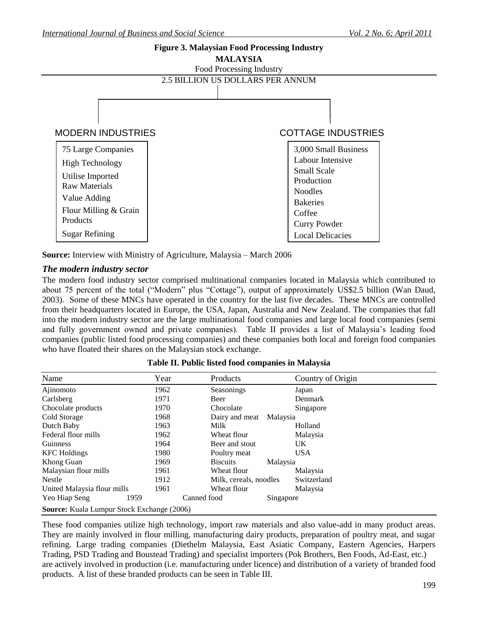

**Source:** Interview with Ministry of Agriculture, Malaysia – March 2006

### *The modern industry sector*

The modern food industry sector comprised multinational companies located in Malaysia which contributed to about 75 percent of the total ("Modern" plus "Cottage"), output of approximately US\$2.5 billion (Wan Daud, 2003). Some of these MNCs have operated in the country for the last five decades. These MNCs are controlled from their headquarters located in Europe, the USA, Japan, Australia and New Zealand. The companies that fall into the modern industry sector are the large multinational food companies and large local food companies (semi and fully government owned and private companies). Table II provides a list of Malaysia"s leading food companies (public listed food processing companies) and these companies both local and foreign food companies who have floated their shares on the Malaysian stock exchange.

| Name                                              | Year | Products               | Country of Origin |
|---------------------------------------------------|------|------------------------|-------------------|
| Ajinomoto                                         | 1962 | Seasonings             | Japan             |
| Carlsberg                                         | 1971 | Beer                   | Denmark           |
| Chocolate products                                | 1970 | Chocolate              | Singapore         |
| Cold Storage                                      | 1968 | Dairy and meat         | Malaysia          |
| Dutch Baby                                        | 1963 | Milk                   | Holland           |
| Federal flour mills                               | 1962 | Wheat flour            | Malaysia          |
| Guinness                                          | 1964 | Beer and stout         | UK.               |
| <b>KFC</b> Holdings                               | 1980 | Poultry meat           | <b>USA</b>        |
| Khong Guan                                        | 1969 | <b>Biscuits</b>        | Malaysia          |
| Malaysian flour mills                             | 1961 | Wheat flour            | Malaysia          |
| Nestle                                            | 1912 | Milk, cereals, noodles | Switzerland       |
| United Malaysia flour mills                       | 1961 | Wheat flour            | Malaysia          |
| Yeo Hiap Seng                                     | 1959 | Canned food            | Singapore         |
| <b>Source:</b> Kuala Lumpur Stock Exchange (2006) |      |                        |                   |

#### **Table II. Public listed food companies in Malaysia**

These food companies utilize high technology, import raw materials and also value-add in many product areas. They are mainly involved in flour milling, manufacturing dairy products, preparation of poultry meat, and sugar refining. Large trading companies (Diethelm Malaysia, East Asiatic Company, Eastern Agencies, Harpers Trading, PSD Trading and Boustead Trading) and specialist importers (Pok Brothers, Ben Foods, Ad-East, etc.) are actively involved in production (i.e. manufacturing under licence) and distribution of a variety of branded food products. A list of these branded products can be seen in Table III.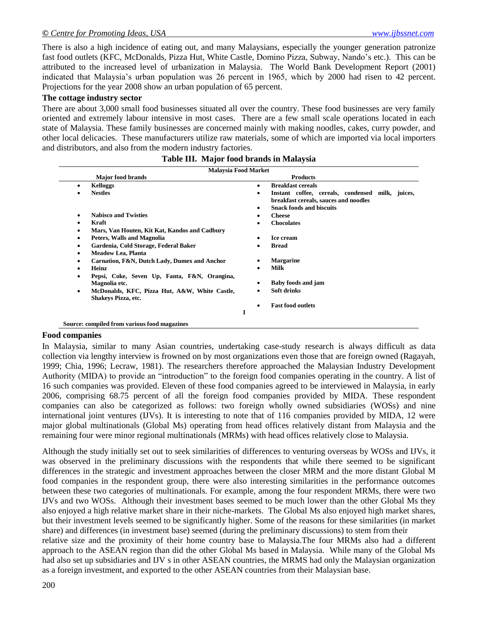There is also a high incidence of eating out, and many Malaysians, especially the younger generation patronize fast food outlets (KFC, McDonalds, Pizza Hut, White Castle, Domino Pizza, Subway, Nando"s etc.). This can be attributed to the increased level of urbanization in Malaysia. The World Bank Development Report (2001) indicated that Malaysia's urban population was 26 percent in 1965, which by 2000 had risen to 42 percent. Projections for the year 2008 show an urban population of 65 percent.

### **The cottage industry sector**

There are about 3,000 small food businesses situated all over the country. These food businesses are very family oriented and extremely labour intensive in most cases. There are a few small scale operations located in each state of Malaysia. These family businesses are concerned mainly with making noodles, cakes, curry powder, and other local delicacies. These manufacturers utilize raw materials, some of which are imported via local importers and distributors, and also from the modern industry factories.

| Malaysia Food Market                                                                                                                            |                                                                                                                                        |
|-------------------------------------------------------------------------------------------------------------------------------------------------|----------------------------------------------------------------------------------------------------------------------------------------|
| <b>Major food brands</b>                                                                                                                        | <b>Products</b>                                                                                                                        |
| <b>Kelloggs</b><br>٠                                                                                                                            | <b>Breakfast cereals</b><br>٠                                                                                                          |
| <b>Nestles</b>                                                                                                                                  | Instant coffee, cereals, condensed milk, juices,<br>٠<br>breakfast cereals, sauces and noodles<br><b>Snack foods and biscuits</b><br>٠ |
| <b>Nabisco and Twisties</b><br>٠                                                                                                                | <b>Cheese</b><br>٠                                                                                                                     |
| Kraft<br>٠                                                                                                                                      | <b>Chocolates</b>                                                                                                                      |
| Mars, Van Houten, Kit Kat, Kandos and Cadbury<br>٠                                                                                              |                                                                                                                                        |
| Peters, Walls and Magnolia<br>٠                                                                                                                 | Ice cream                                                                                                                              |
| Gardenia, Cold Storage, Federal Baker<br>٠                                                                                                      | <b>Bread</b><br>$\bullet$                                                                                                              |
| <b>Meadow Lea, Planta</b><br>٠                                                                                                                  |                                                                                                                                        |
| Carnation, F&N, Dutch Lady, Dumex and Anchor<br>٠                                                                                               | <b>Margarine</b>                                                                                                                       |
| Heinz<br>٠                                                                                                                                      | <b>Milk</b><br>$\bullet$                                                                                                               |
| Pepsi, Coke, Seven Up, Fanta, F&N, Orangina,<br>٠<br>Magnolia etc.<br>McDonalds, KFC, Pizza Hut, A&W, White Castle,<br>٠<br>Shakeys Pizza, etc. | Baby foods and jam<br>٠<br><b>Soft drinks</b><br>٠                                                                                     |
|                                                                                                                                                 | <b>Fast food outlets</b><br>$\bullet$                                                                                                  |
|                                                                                                                                                 | I                                                                                                                                      |
| Source: compiled from various food magazines                                                                                                    |                                                                                                                                        |

|  |  | Table III. Major food brands in Malaysia |
|--|--|------------------------------------------|
|  |  |                                          |

#### **Food companies**

In Malaysia, similar to many Asian countries, undertaking case-study research is always difficult as data collection via lengthy interview is frowned on by most organizations even those that are foreign owned (Ragayah, 1999; Chia, 1996; Lecraw, 1981). The researchers therefore approached the Malaysian Industry Development Authority (MIDA) to provide an "introduction" to the foreign food companies operating in the country. A list of 16 such companies was provided. Eleven of these food companies agreed to be interviewed in Malaysia, in early 2006, comprising 68.75 percent of all the foreign food companies provided by MIDA. These respondent companies can also be categorized as follows: two foreign wholly owned subsidiaries (WOSs) and nine international joint ventures (IJVs). It is interesting to note that of 116 companies provided by MIDA, 12 were major global multinationals (Global Ms) operating from head offices relatively distant from Malaysia and the remaining four were minor regional multinationals (MRMs) with head offices relatively close to Malaysia.

Although the study initially set out to seek similarities of differences to venturing overseas by WOSs and IJVs, it was observed in the preliminary discussions with the respondents that while there seemed to be significant differences in the strategic and investment approaches between the closer MRM and the more distant Global M food companies in the respondent group, there were also interesting similarities in the performance outcomes between these two categories of multinationals. For example, among the four respondent MRMs, there were two IJVs and two WOSs. Although their investment bases seemed to be much lower than the other Global Ms they also enjoyed a high relative market share in their niche-markets. The Global Ms also enjoyed high market shares, but their investment levels seemed to be significantly higher. Some of the reasons for these similarities (in market share) and differences (in investment base) seemed (during the preliminary discussions) to stem from their relative size and the proximity of their home country base to Malaysia.The four MRMs also had a different approach to the ASEAN region than did the other Global Ms based in Malaysia. While many of the Global Ms had also set up subsidiaries and IJV s in other ASEAN countries, the MRMS had only the Malaysian organization as a foreign investment, and exported to the other ASEAN countries from their Malaysian base.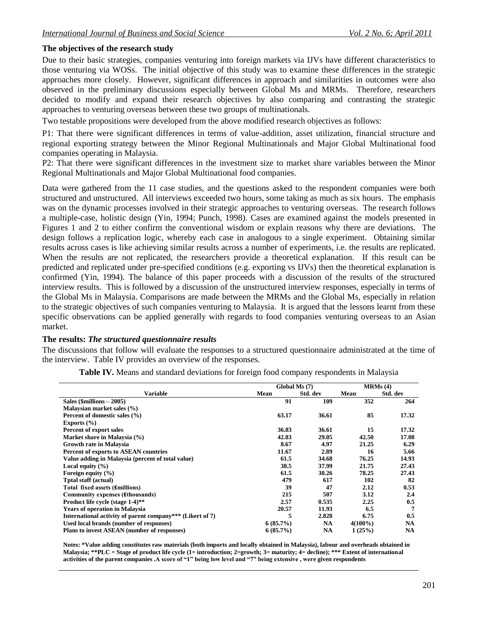# **The objectives of the research study**

Due to their basic strategies, companies venturing into foreign markets via IJVs have different characteristics to those venturing via WOSs. The initial objective of this study was to examine these differences in the strategic approaches more closely. However, significant differences in approach and similarities in outcomes were also observed in the preliminary discussions especially between Global Ms and MRMs. Therefore, researchers decided to modify and expand their research objectives by also comparing and contrasting the strategic approaches to venturing overseas between these two groups of multinationals.

Two testable propositions were developed from the above modified research objectives as follows:

P1: That there were significant differences in terms of value-addition, asset utilization, financial structure and regional exporting strategy between the Minor Regional Multinationals and Major Global Multinational food companies operating in Malaysia.

P2: That there were significant differences in the investment size to market share variables between the Minor Regional Multinationals and Major Global Multinational food companies.

Data were gathered from the 11 case studies, and the questions asked to the respondent companies were both structured and unstructured. All interviews exceeded two hours, some taking as much as six hours. The emphasis was on the dynamic processes involved in their strategic approaches to venturing overseas. The research follows a multiple-case, holistic design (Yin, 1994; Punch, 1998). Cases are examined against the models presented in Figures 1 and 2 to either confirm the conventional wisdom or explain reasons why there are deviations. The design follows a replication logic, whereby each case in analogous to a single experiment. Obtaining similar results across cases is like achieving similar results across a number of experiments, i.e. the results are replicated. When the results are not replicated, the researchers provide a theoretical explanation. If this result can be predicted and replicated under pre-specified conditions (e.g. exporting vs IJVs) then the theoretical explanation is confirmed (Yin, 1994). The balance of this paper proceeds with a discussion of the results of the structured interview results. This is followed by a discussion of the unstructured interview responses, especially in terms of the Global Ms in Malaysia. Comparisons are made between the MRMs and the Global Ms, especially in relation to the strategic objectives of such companies venturing to Malaysia. It is argued that the lessons learnt from these specific observations can be applied generally with regards to food companies venturing overseas to an Asian market.

# **The results:** *The structured questionnaire results*

The discussions that follow will evaluate the responses to a structured questionnaire administrated at the time of the interview. Table IV provides an overview of the responses.

|                                                           | Global Ms (7) |           | MRMs(4)    |          |
|-----------------------------------------------------------|---------------|-----------|------------|----------|
| <b>Variable</b>                                           | Mean          | Std. dev  | Mean       | Std. dev |
| Sales $(\text{Smithions} - 2005)$                         | 91            | 109       | 352        | 264      |
| Malaysian market sales (%)                                |               |           |            |          |
| Percent of domestic sales (%)                             | 63.17         | 36.61     | 85         | 17.32    |
| Exports $(\% )$                                           |               |           |            |          |
| <b>Percent of export sales</b>                            | 36.83         | 36.61     | 15         | 17.32    |
| Market share in Malaysia (%)                              | 42.83         | 29.05     | 42.50      | 17.08    |
| Growth rate in Malaysia                                   | 8.67          | 4.97      | 21.25      | 6.29     |
| Percent of exports to ASEAN countries                     | 11.67         | 2.89      | 16         | 5.66     |
| Value adding in Malaysia (percent of total value)         | 61.5          | 34.68     | 76.25      | 14.93    |
| Local equity $(\% )$                                      | 38.5          | 37.99     | 21.75      | 27.43    |
| Foreign equity $(\% )$                                    | 61.5          | 30.26     | 78.25      | 27.43    |
| <b>Tptal staff (actual)</b>                               | 479           | 617       | 102        | 82       |
| Total fixed assets (£millions)                            | 39            | 47        | 2.12       | 0.53     |
| Community expenses (£thousands)                           | 215           | 507       | 3.12       | 2.4      |
| Product life cycle (stage 1-4)**                          | 2.57          | 0.535     | 2.25       | 0.5      |
| <b>Years of operation in Malaysia</b>                     | 20.57         | 11.93     | 6.5        | 7        |
| International activity of parent company*** (Likert of 7) | 5             | 2.828     | 6.75       | 0.5      |
| Used local brands (number of responses)                   | 6(85.7%)      | NA        | $4(100\%)$ | NA       |
| Plans to invest ASEAN (number of responses)               | 6(85.7%)      | <b>NA</b> | 1(25%)     | NA       |

**Table IV.** Means and standard deviations for foreign food company respondents in Malaysia

**Notes: \*Value adding constitutes raw materials (both imports and locally obtained in Malaysia), labour and overheads obtained in Malaysia; \*\*PLC = Stage of product life cycle (1= introduction; 2=growth; 3= maturity; 4= decline); \*\*\* Extent of international activities of the parent companies .A score of "1" being low level and "7" being extensive , were given respondents**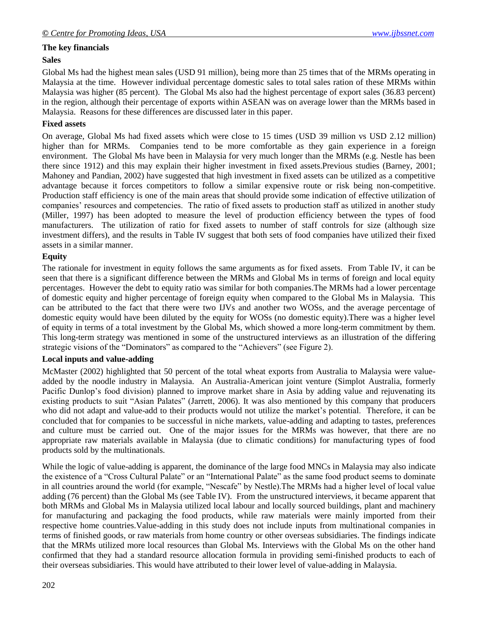### **The key financials**

### **Sales**

Global Ms had the highest mean sales (USD 91 million), being more than 25 times that of the MRMs operating in Malaysia at the time. However individual percentage domestic sales to total sales ration of these MRMs within Malaysia was higher (85 percent). The Global Ms also had the highest percentage of export sales (36.83 percent) in the region, although their percentage of exports within ASEAN was on average lower than the MRMs based in Malaysia. Reasons for these differences are discussed later in this paper.

### **Fixed assets**

On average, Global Ms had fixed assets which were close to 15 times (USD 39 million vs USD 2.12 million) higher than for MRMs. Companies tend to be more comfortable as they gain experience in a foreign environment. The Global Ms have been in Malaysia for very much longer than the MRMs (e.g. Nestle has been there since 1912) and this may explain their higher investment in fixed assets.Previous studies (Barney, 2001; Mahoney and Pandian, 2002) have suggested that high investment in fixed assets can be utilized as a competitive advantage because it forces competitors to follow a similar expensive route or risk being non-competitive. Production staff efficiency is one of the main areas that should provide some indication of effective utilization of companies' resources and competencies. The ratio of fixed assets to production staff as utilized in another study (Miller, 1997) has been adopted to measure the level of production efficiency between the types of food manufacturers. The utilization of ratio for fixed assets to number of staff controls for size (although size investment differs), and the results in Table IV suggest that both sets of food companies have utilized their fixed assets in a similar manner.

### **Equity**

The rationale for investment in equity follows the same arguments as for fixed assets. From Table IV, it can be seen that there is a significant difference between the MRMs and Global Ms in terms of foreign and local equity percentages. However the debt to equity ratio was similar for both companies.The MRMs had a lower percentage of domestic equity and higher percentage of foreign equity when compared to the Global Ms in Malaysia. This can be attributed to the fact that there were two IJVs and another two WOSs, and the average percentage of domestic equity would have been diluted by the equity for WOSs (no domestic equity).There was a higher level of equity in terms of a total investment by the Global Ms, which showed a more long-term commitment by them. This long-term strategy was mentioned in some of the unstructured interviews as an illustration of the differing strategic visions of the "Dominators" as compared to the "Achievers" (see Figure 2).

### **Local inputs and value-adding**

McMaster (2002) highlighted that 50 percent of the total wheat exports from Australia to Malaysia were valueadded by the noodle industry in Malaysia. An Australia-American joint venture (Simplot Australia, formerly Pacific Dunlop"s food division) planned to improve market share in Asia by adding value and rejuvenating its existing products to suit "Asian Palates" (Jarrett, 2006). It was also mentioned by this company that producers who did not adapt and value-add to their products would not utilize the market's potential. Therefore, it can be concluded that for companies to be successful in niche markets, value-adding and adapting to tastes, preferences and culture must be carried out. One of the major issues for the MRMs was however, that there are no appropriate raw materials available in Malaysia (due to climatic conditions) for manufacturing types of food products sold by the multinationals.

While the logic of value-adding is apparent, the dominance of the large food MNCs in Malaysia may also indicate the existence of a "Cross Cultural Palate" or an "International Palate" as the same food product seems to dominate in all countries around the world (for example, "Nescafe" by Nestle).The MRMs had a higher level of local value adding (76 percent) than the Global Ms (see Table IV). From the unstructured interviews, it became apparent that both MRMs and Global Ms in Malaysia utilized local labour and locally sourced buildings, plant and machinery for manufacturing and packaging the food products, while raw materials were mainly imported from their respective home countries.Value-adding in this study does not include inputs from multinational companies in terms of finished goods, or raw materials from home country or other overseas subsidiaries. The findings indicate that the MRMs utilized more local resources than Global Ms. Interviews with the Global Ms on the other hand confirmed that they had a standard resource allocation formula in providing semi-finished products to each of their overseas subsidiaries. This would have attributed to their lower level of value-adding in Malaysia.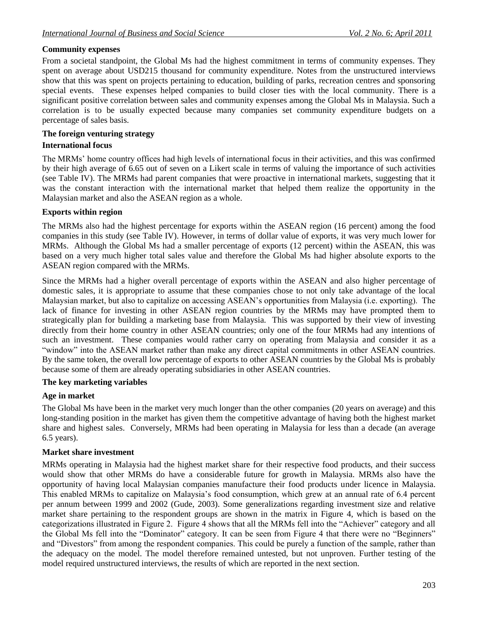### **Community expenses**

From a societal standpoint, the Global Ms had the highest commitment in terms of community expenses. They spent on average about USD215 thousand for community expenditure. Notes from the unstructured interviews show that this was spent on projects pertaining to education, building of parks, recreation centres and sponsoring special events. These expenses helped companies to build closer ties with the local community. There is a significant positive correlation between sales and community expenses among the Global Ms in Malaysia. Such a correlation is to be usually expected because many companies set community expenditure budgets on a percentage of sales basis.

#### **The foreign venturing strategy**

### **International focus**

The MRMs" home country offices had high levels of international focus in their activities, and this was confirmed by their high average of 6.65 out of seven on a Likert scale in terms of valuing the importance of such activities (see Table IV). The MRMs had parent companies that were proactive in international markets, suggesting that it was the constant interaction with the international market that helped them realize the opportunity in the Malaysian market and also the ASEAN region as a whole.

#### **Exports within region**

The MRMs also had the highest percentage for exports within the ASEAN region (16 percent) among the food companies in this study (see Table IV). However, in terms of dollar value of exports, it was very much lower for MRMs. Although the Global Ms had a smaller percentage of exports (12 percent) within the ASEAN, this was based on a very much higher total sales value and therefore the Global Ms had higher absolute exports to the ASEAN region compared with the MRMs.

Since the MRMs had a higher overall percentage of exports within the ASEAN and also higher percentage of domestic sales, it is appropriate to assume that these companies chose to not only take advantage of the local Malaysian market, but also to capitalize on accessing ASEAN"s opportunities from Malaysia (i.e. exporting). The lack of finance for investing in other ASEAN region countries by the MRMs may have prompted them to strategically plan for building a marketing base from Malaysia. This was supported by their view of investing directly from their home country in other ASEAN countries; only one of the four MRMs had any intentions of such an investment. These companies would rather carry on operating from Malaysia and consider it as a "window" into the ASEAN market rather than make any direct capital commitments in other ASEAN countries. By the same token, the overall low percentage of exports to other ASEAN countries by the Global Ms is probably because some of them are already operating subsidiaries in other ASEAN countries.

#### **The key marketing variables**

#### **Age in market**

The Global Ms have been in the market very much longer than the other companies (20 years on average) and this long-standing position in the market has given them the competitive advantage of having both the highest market share and highest sales. Conversely, MRMs had been operating in Malaysia for less than a decade (an average 6.5 years).

#### **Market share investment**

MRMs operating in Malaysia had the highest market share for their respective food products, and their success would show that other MRMs do have a considerable future for growth in Malaysia. MRMs also have the opportunity of having local Malaysian companies manufacture their food products under licence in Malaysia. This enabled MRMs to capitalize on Malaysia"s food consumption, which grew at an annual rate of 6.4 percent per annum between 1999 and 2002 (Gude, 2003). Some generalizations regarding investment size and relative market share pertaining to the respondent groups are shown in the matrix in Figure 4, which is based on the categorizations illustrated in Figure 2. Figure 4 shows that all the MRMs fell into the "Achiever" category and all the Global Ms fell into the "Dominator" category. It can be seen from Figure 4 that there were no "Beginners" and "Divestors" from among the respondent companies. This could be purely a function of the sample, rather than the adequacy on the model. The model therefore remained untested, but not unproven. Further testing of the model required unstructured interviews, the results of which are reported in the next section.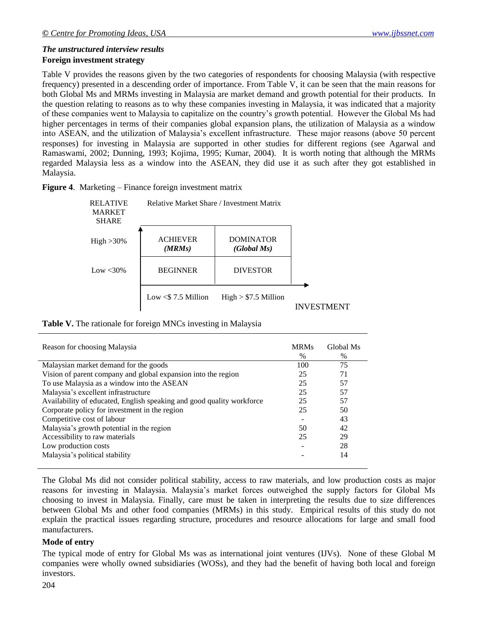### *The unstructured interview results* **Foreign investment strategy**

Table V provides the reasons given by the two categories of respondents for choosing Malaysia (with respective frequency) presented in a descending order of importance. From Table V, it can be seen that the main reasons for both Global Ms and MRMs investing in Malaysia are market demand and growth potential for their products. In the question relating to reasons as to why these companies investing in Malaysia, it was indicated that a majority of these companies went to Malaysia to capitalize on the country"s growth potential. However the Global Ms had higher percentages in terms of their companies global expansion plans, the utilization of Malaysia as a window into ASEAN, and the utilization of Malaysia"s excellent infrastructure. These major reasons (above 50 percent responses) for investing in Malaysia are supported in other studies for different regions (see Agarwal and Ramaswami, 2002; Dunning, 1993; Kojima, 1995; Kumar, 2004). It is worth noting that although the MRMs regarded Malaysia less as a window into the ASEAN, they did use it as such after they got established in Malaysia.

**Figure 4**. Marketing – Finance foreign investment matrix

| <b>RELATIVE</b><br><b>MARKET</b><br><b>SHARE</b> | Relative Market Share / Investment Matrix |                                    |                   |
|--------------------------------------------------|-------------------------------------------|------------------------------------|-------------------|
| High $>30\%$                                     | <b>ACHIEVER</b><br>(MRMs)                 | <b>DOMINATOR</b><br>$(Global\ Ms)$ |                   |
| Low $\langle 30\%$                               | <b>BEGINNER</b>                           | <b>DIVESTOR</b>                    |                   |
|                                                  | Low $\leq$ 7.5 Million                    | $High > $7.5$ Million              | <b>INVESTMENT</b> |

| Table V. The rationale for foreign MNCs investing in Malaysia |  |  |  |
|---------------------------------------------------------------|--|--|--|
|---------------------------------------------------------------|--|--|--|

| Reason for choosing Malaysia                                          | <b>MRMs</b><br>$\frac{0}{0}$ | Global Ms<br>$\frac{0}{0}$ |
|-----------------------------------------------------------------------|------------------------------|----------------------------|
| Malaysian market demand for the goods                                 | 100                          | 75                         |
| Vision of parent company and global expansion into the region         | 25                           | 71                         |
| To use Malaysia as a window into the ASEAN                            | 25                           | 57                         |
| Malaysia's excellent infrastructure                                   | 25                           | 57                         |
| Availability of educated, English speaking and good quality workforce | 25                           | 57                         |
| Corporate policy for investment in the region                         | 25                           | 50                         |
| Competitive cost of labour                                            |                              | 43                         |
| Malaysia's growth potential in the region                             | 50                           | 42                         |
| Accessibility to raw materials                                        | 25                           | 29                         |
| Low production costs                                                  |                              | 28                         |
| Malaysia's political stability                                        |                              | 14                         |

The Global Ms did not consider political stability, access to raw materials, and low production costs as major reasons for investing in Malaysia. Malaysia"s market forces outweighed the supply factors for Global Ms choosing to invest in Malaysia. Finally, care must be taken in interpreting the results due to size differences between Global Ms and other food companies (MRMs) in this study. Empirical results of this study do not explain the practical issues regarding structure, procedures and resource allocations for large and small food manufacturers.

# **Mode of entry**

The typical mode of entry for Global Ms was as international joint ventures (IJVs). None of these Global M companies were wholly owned subsidiaries (WOSs), and they had the benefit of having both local and foreign investors.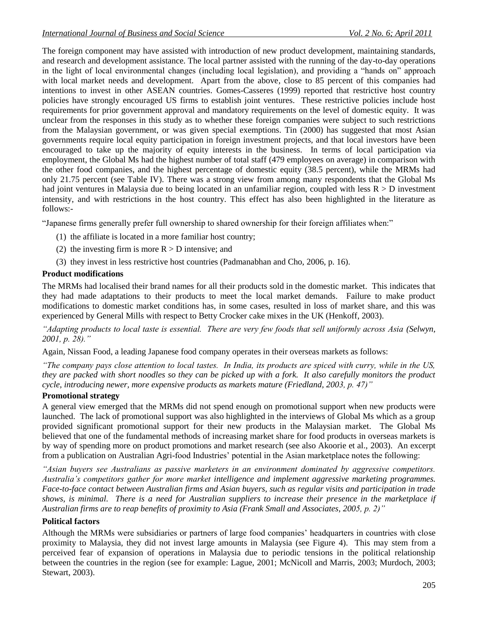The foreign component may have assisted with introduction of new product development, maintaining standards, and research and development assistance. The local partner assisted with the running of the day-to-day operations in the light of local environmental changes (including local legislation), and providing a "hands on" approach with local market needs and development. Apart from the above, close to 85 percent of this companies had intentions to invest in other ASEAN countries. Gomes-Casseres (1999) reported that restrictive host country policies have strongly encouraged US firms to establish joint ventures. These restrictive policies include host requirements for prior government approval and mandatory requirements on the level of domestic equity. It was unclear from the responses in this study as to whether these foreign companies were subject to such restrictions from the Malaysian government, or was given special exemptions. Tin (2000) has suggested that most Asian governments require local equity participation in foreign investment projects, and that local investors have been encouraged to take up the majority of equity interests in the business. In terms of local participation via employment, the Global Ms had the highest number of total staff (479 employees on average) in comparison with the other food companies, and the highest percentage of domestic equity (38.5 percent), while the MRMs had only 21.75 percent (see Table IV). There was a strong view from among many respondents that the Global Ms had joint ventures in Malaysia due to being located in an unfamiliar region, coupled with less  $R > D$  investment intensity, and with restrictions in the host country. This effect has also been highlighted in the literature as follows:-

"Japanese firms generally prefer full ownership to shared ownership for their foreign affiliates when:"

- (1) the affiliate is located in a more familiar host country;
- (2) the investing firm is more  $R > D$  intensive; and
- (3) they invest in less restrictive host countries (Padmanabhan and Cho, 2006, p. 16).

### **Product modifications**

The MRMs had localised their brand names for all their products sold in the domestic market. This indicates that they had made adaptations to their products to meet the local market demands. Failure to make product modifications to domestic market conditions has, in some cases, resulted in loss of market share, and this was experienced by General Mills with respect to Betty Crocker cake mixes in the UK (Henkoff, 2003).

*"Adapting products to local taste is essential. There are very few foods that sell uniformly across Asia (Selwyn, 2001, p. 28)."*

Again, Nissan Food, a leading Japanese food company operates in their overseas markets as follows:

*"The company pays close attention to local tastes. In India, its products are spiced with curry, while in the US, they are packed with short noodles so they can be picked up with a fork. It also carefully monitors the product cycle, introducing newer, more expensive products as markets mature (Friedland, 2003, p. 47)"*

#### **Promotional strategy**

A general view emerged that the MRMs did not spend enough on promotional support when new products were launched. The lack of promotional support was also highlighted in the interviews of Global Ms which as a group provided significant promotional support for their new products in the Malaysian market. The Global Ms believed that one of the fundamental methods of increasing market share for food products in overseas markets is by way of spending more on product promotions and market research (see also Akoorie et al., 2003). An excerpt from a publication on Australian Agri-food Industries' potential in the Asian marketplace notes the following:

*"Asian buyers see Australians as passive marketers in an environment dominated by aggressive competitors. Australia's competitors gather for more market intelligence and implement aggressive marketing programmes. Face-to-face contact between Australian firms and Asian buyers, such as regular visits and participation in trade shows, is minimal. There is a need for Australian suppliers to increase their presence in the marketplace if Australian firms are to reap benefits of proximity to Asia (Frank Small and Associates, 2005, p. 2)"*

### **Political factors**

Although the MRMs were subsidiaries or partners of large food companies" headquarters in countries with close proximity to Malaysia, they did not invest large amounts in Malaysia (see Figure 4). This may stem from a perceived fear of expansion of operations in Malaysia due to periodic tensions in the political relationship between the countries in the region (see for example: Lague, 2001; McNicoll and Marris, 2003; Murdoch, 2003; Stewart, 2003).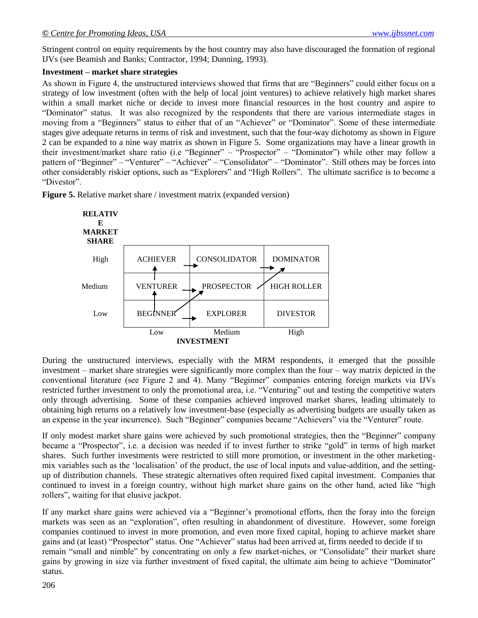Stringent control on equity requirements by the host country may also have discouraged the formation of regional IJVs (see Beamish and Banks; Contractor, 1994; Dunning, 1993).

### **Investment – market share strategies**

As shown in Figure 4, the unstructured interviews showed that firms that are "Beginners" could either focus on a strategy of low investment (often with the help of local joint ventures) to achieve relatively high market shares within a small market niche or decide to invest more financial resources in the host country and aspire to "Dominator" status. It was also recognized by the respondents that there are various intermediate stages in moving from a "Beginners" status to either that of an "Achiever" or "Dominator". Some of these intermediate stages give adequate returns in terms of risk and investment, such that the four-way dichotomy as shown in Figure 2 can be expanded to a nine way matrix as shown in Figure 5. Some organizations may have a linear growth in their investment/market share ratio (i.e "Beginner" – "Prospector" – "Dominator") while other may follow a pattern of "Beginner" – "Venturer" – "Achiever" – "Consolidator" – "Dominator". Still others may be forces into other considerably riskier options, such as "Explorers" and "High Rollers". The ultimate sacrifice is to become a "Divestor".

**Figure 5.** Relative market share / investment matrix (expanded version)



During the unstructured interviews, especially with the MRM respondents, it emerged that the possible investment – market share strategies were significantly more complex than the four – way matrix depicted in the conventional literature (see Figure 2 and 4). Many "Beginner" companies entering foreign markets via IJVs restricted further investment to only the promotional area, i.e. "Venturing" out and testing the competitive waters only through advertising. Some of these companies achieved improved market shares, leading ultimately to obtaining high returns on a relatively low investment-base (especially as advertising budgets are usually taken as an expense in the year incurrence). Such "Beginner" companies became "Achievers" via the "Venturer" route.

If only modest market share gains were achieved by such promotional strategies, then the "Beginner" company became a "Prospector", i.e. a decision was needed if to invest further to strike "gold" in terms of high market shares. Such further investments were restricted to still more promotion, or investment in the other marketingmix variables such as the "localisation" of the product, the use of local inputs and value-addition, and the settingup of distribution channels. These strategic alternatives often required fixed capital investment. Companies that continued to invest in a foreign country, without high market share gains on the other hand, acted like "high rollers", waiting for that elusive jackpot.

If any market share gains were achieved via a "Beginner"s promotional efforts, then the foray into the foreign markets was seen as an "exploration", often resulting in abandonment of divestiture. However, some foreign companies continued to invest in more promotion, and even more fixed capital, hoping to achieve market share gains and (at least) "Prospector" status. One "Achiever" status had been arrived at, firms needed to decide if to remain "small and nimble" by concentrating on only a few market-niches, or "Consolidate" their market share gains by growing in size via further investment of fixed capital, the ultimate aim being to achieve "Dominator" status.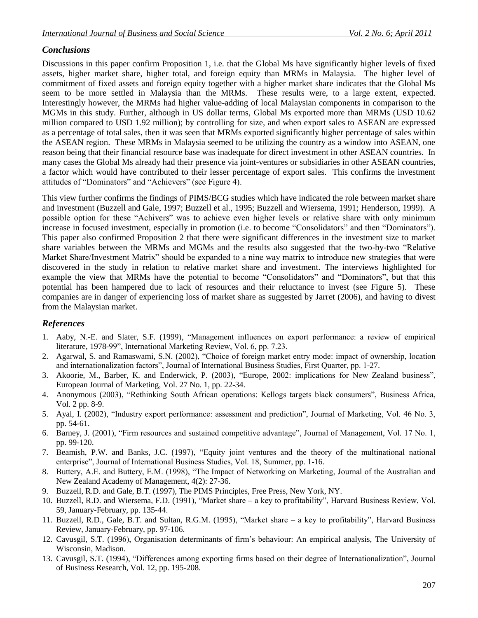### *Conclusions*

Discussions in this paper confirm Proposition 1, i.e. that the Global Ms have significantly higher levels of fixed assets, higher market share, higher total, and foreign equity than MRMs in Malaysia. The higher level of commitment of fixed assets and foreign equity together with a higher market share indicates that the Global Ms seem to be more settled in Malaysia than the MRMs. These results were, to a large extent, expected. Interestingly however, the MRMs had higher value-adding of local Malaysian components in comparison to the MGMs in this study. Further, although in US dollar terms, Global Ms exported more than MRMs (USD 10.62 million compared to USD 1.92 million); by controlling for size, and when export sales to ASEAN are expressed as a percentage of total sales, then it was seen that MRMs exported significantly higher percentage of sales within the ASEAN region. These MRMs in Malaysia seemed to be utilizing the country as a window into ASEAN, one reason being that their financial resource base was inadequate for direct investment in other ASEAN countries. In many cases the Global Ms already had their presence via joint-ventures or subsidiaries in other ASEAN countries, a factor which would have contributed to their lesser percentage of export sales. This confirms the investment attitudes of "Dominators" and "Achievers" (see Figure 4).

This view further confirms the findings of PIMS/BCG studies which have indicated the role between market share and investment (Buzzell and Gale, 1997; Buzzell et al., 1995; Buzzell and Wiersema, 1991; Henderson, 1999). A possible option for these "Achivers" was to achieve even higher levels or relative share with only minimum increase in focused investment, especially in promotion (i.e. to become "Consolidators" and then "Dominators"). This paper also confirmed Proposition 2 that there were significant differences in the investment size to market share variables between the MRMs and MGMs and the results also suggested that the two-by-two "Relative Market Share/Investment Matrix" should be expanded to a nine way matrix to introduce new strategies that were discovered in the study in relation to relative market share and investment. The interviews highlighted for example the view that MRMs have the potential to become "Consolidators" and "Dominators", but that this potential has been hampered due to lack of resources and their reluctance to invest (see Figure 5). These companies are in danger of experiencing loss of market share as suggested by Jarret (2006), and having to divest from the Malaysian market.

### *References*

- 1. Aaby, N.-E. and Slater, S.F. (1999), "Management influences on export performance: a review of empirical literature, 1978-99", International Marketing Review, Vol. 6, pp. 7.23.
- 2. Agarwal, S. and Ramaswami, S.N. (2002), "Choice of foreign market entry mode: impact of ownership, location and internationalization factors", Journal of International Business Studies, First Quarter, pp. 1-27.
- 3. Akoorie, M., Barber, K. and Enderwick, P. (2003), "Europe, 2002: implications for New Zealand business", European Journal of Marketing, Vol. 27 No. 1, pp. 22-34.
- 4. Anonymous (2003), "Rethinking South African operations: Kellogs targets black consumers", Business Africa, Vol. 2 pp. 8-9.
- 5. Ayal, I. (2002), "Industry export performance: assessment and prediction", Journal of Marketing, Vol. 46 No. 3, pp. 54-61.
- 6. Barney, J. (2001), "Firm resources and sustained competitive advantage", Journal of Management, Vol. 17 No. 1, pp. 99-120.
- 7. Beamish, P.W. and Banks, J.C. (1997), "Equity joint ventures and the theory of the multinational national enterprise", Journal of International Business Studies, Vol. 18, Summer, pp. 1-16.
- 8. Buttery, A.E. and Buttery, E.M. (1998), "The Impact of Networking on Marketing, Journal of the Australian and New Zealand Academy of Management, 4(2): 27-36.
- 9. Buzzell, R.D. and Gale, B.T. (1997), The PIMS Principles, Free Press, New York, NY.
- 10. Buzzell, R.D. and Wiersema, F.D. (1991), "Market share a key to profitability", Harvard Business Review, Vol. 59, January-February, pp. 135-44.
- 11. Buzzell, R.D., Gale, B.T. and Sultan, R.G.M. (1995), "Market share a key to profitability", Harvard Business Review, January-February, pp. 97-106.
- 12. Cavusgil, S.T. (1996), Organisation determinants of firm"s behaviour: An empirical analysis, The University of Wisconsin, Madison.
- 13. Cavusgil, S.T. (1994), "Differences among exporting firms based on their degree of Internationalization", Journal of Business Research, Vol. 12, pp. 195-208.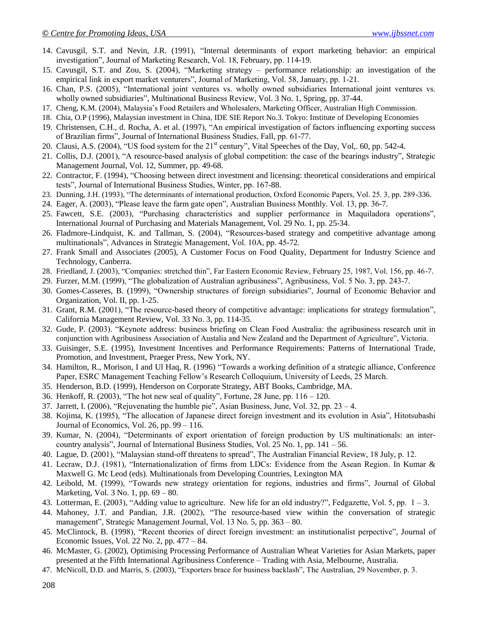- 14. Cavusgil, S.T. and Nevin, J.R. (1991), "Internal determinants of export marketing behavior: an empirical investigation", Journal of Marketing Research, Vol. 18, February, pp. 114-19.
- 15. Cavusgil, S.T. and Zou, S. (2004), "Marketing strategy performance relationship: an investigation of the empirical link in export market venturers", Journal of Marketing, Vol. 58, January, pp. 1-21.
- 16. Chan, P.S. (2005), "International joint ventures vs. wholly owned subsidiaries International joint ventures vs. wholly owned subsidiaries", Multinational Business Review, Vol. 3 No. 1, Spring, pp. 37-44.
- 17. Cheng, K.M. (2004), Malaysia"s Food Retailers and Wholesalers, Marketing Officer, Australian High Commission.
- 18. Chia, O.P (1996), Malaysian investment in China, IDE SIE Report No.3. Tokyo: Institute of Developing Economies
- 19. Christensen, C.H., d. Rocha, A. et al. (1997), "An empirical investigation of factors influencing exporting success of Brazilian firms", Journal of International Business Studies, Fall, pp. 61-77.
- 20. Clausi, A.S. (2004), "US food system for the 21<sup>st</sup> century", Vital Speeches of the Day, Vol,. 60, pp. 542-4.
- 21. Collis, D.J. (2001), "A resource-based analysis of global competition: the case of the bearings industry", Strategic Management Journal, Vol. 12, Summer, pp. 49-68.
- 22. Contractor, F. (1994), "Choosing between direct investment and licensing: theoretical considerations and empirical tests", Journal of International Business Studies, Winter, pp. 167-88.
- 23. Dunning, J.H. (1993), "The determinants of international production, Oxford Economic Papers, Vol. 25. 3, pp. 289-336.
- 24. Eager, A. (2003), "Please leave the farm gate open", Australian Business Monthly. Vol. 13, pp. 36-7.
- 25. Fawcett, S.E. (2003), "Purchasing characteristics and supplier performance in Maquiladora operations", International Journal of Purchasing and Materials Management, Vol. 29 No. 1, pp. 25-34.
- 26. Fladmore-Lindquist, K. and Tallman, S. (2004), "Resources-based strategy and competitive advantage among multinationals", Advances in Strategic Management, Vol. 10A, pp. 45-72.
- 27. Frank Small and Associates (2005), A Customer Focus on Food Quality, Department for Industry Science and Technology, Canberra.
- 28. Friedland, J. (2003), "Companies: stretched thin", Far Eastern Economic Review, February 25, 1987, Vol. 156, pp. 46-7.
- 29. Furzer, M.M. (1999), "The globalization of Australian agribusiness", Agribusiness, Vol. 5 No. 3, pp. 243-7.
- 30. Gomes-Casseres, B. (1999), "Ownership structures of foreign subsidiaries", Journal of Economic Behavior and Organization, Vol. II, pp. 1-25.
- 31. Grant, R.M. (2001), "The resource-based theory of competitive advantage: implications for strategy formulation", California Management Review, Vol. 33 No. 3, pp. 114-35.
- 32. Gude, P. (2003). "Keynote address: business briefing on Clean Food Australia: the agribusiness research unit in conjunction with Agribusiness Association of Austalia and New Zealand and the Department of Agriculture", Victoria.
- 33. Guisinger, S.E. (1995), Investment Incentives and Performance Requirements: Patterns of International Trade, Promotion, and Investment, Praeger Press, New York, NY.
- 34. Hamilton, R., Morison, I and Ul Haq, R. (1996) "Towards a working definition of a strategic alliance, Conference Paper, ESRC Management Teaching Fellow"s Research Colloquium, University of Leeds, 25 March.
- 35. Henderson, B.D. (1999), Henderson on Corporate Strategy, ABT Books, Cambridge, MA.
- 36. Henkoff, R. (2003), "The hot new seal of quality", Fortune, 28 June, pp. 116 120.
- 37. Jarrett, I. (2006), "Rejuvenating the humble pie", Asian Business, June, Vol. 32, pp.  $23 4$ .
- 38. Kojima, K. (1995), "The allocation of Japanese direct foreign investment and its evolution in Asia", Hitotsubashi Journal of Economics, Vol. 26, pp. 99 – 116.
- 39. Kumar, N. (2004), "Determinants of export orientation of foreign production by US multinationals: an intercountry analysis", Journal of International Business Studies, Vol. 25 No. 1, pp. 141 – 56.
- 40. Lague, D. (2001), "Malaysian stand-off threatens to spread", The Australian Financial Review, 18 July, p. 12.
- 41. Lecraw, D.J. (1981), "Internationalization of firms from LDCs: Evidence from the Asean Region. In Kumar & Maxwell G. Mc Leod (eds). Multinationals from Developing Countries, Lexington MA
- 42. Leibold, M. (1999), "Towards new strategy orientation for regions, industries and firms", Journal of Global Marketing, Vol. 3 No. 1, pp. 69 – 80.
- 43. Lotterman, E. (2003), "Adding value to agriculture. New life for an old industry?", Fedgazette, Vol. 5, pp.  $1 3$ .
- 44. Mahoney, J.T. and Pandian, J.R. (2002), "The resource-based view within the conversation of strategic management", Strategic Management Journal, Vol. 13 No. 5, pp. 363 – 80.
- 45. McClintock, B. (1998), "Recent theories of direct foreign investment: an institutionalist perpective", Journal of Economic Issues, Vol. 22 No. 2, pp. 477 – 84.
- 46. McMaster, G. (2002), Optimising Processing Performance of Australian Wheat Varieties for Asian Markets, paper presented at the Fifth International Agribusiness Conference – Trading with Asia, Melbourne, Australia.
- 47. McNicoll, D.D. and Marris, S. (2003), "Exporters brace for business backlash", The Australian, 29 November, p. 3.